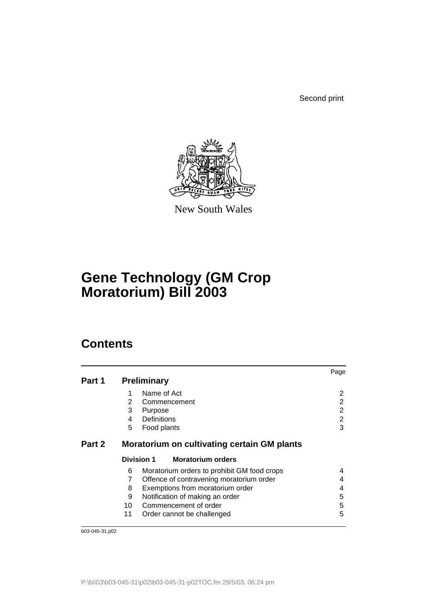Second print



New South Wales

# **Gene Technology (GM Crop Moratorium) Bill 2003**

# **Contents**

|        |                                                  | Page           |
|--------|--------------------------------------------------|----------------|
| Part 1 | <b>Preliminary</b>                               |                |
|        | Name of Act<br>1                                 | 2              |
|        | 2<br>Commencement                                | 2              |
|        | 3<br>Purpose                                     | $\overline{2}$ |
|        | Definitions<br>4                                 | $\overline{2}$ |
|        | 5<br>Food plants                                 | 3              |
| Part 2 | Moratorium on cultivating certain GM plants      |                |
|        | <b>Division 1</b><br><b>Moratorium orders</b>    |                |
|        | Moratorium orders to prohibit GM food crops<br>6 | 4              |
|        | Offence of contravening moratorium order<br>7    | 4              |
|        | Exemptions from moratorium order<br>8            | 4              |
|        | 9<br>Notification of making an order             | 5              |
|        | Commencement of order<br>10                      | 5              |
|        | 11<br>Order cannot be challenged                 | 5              |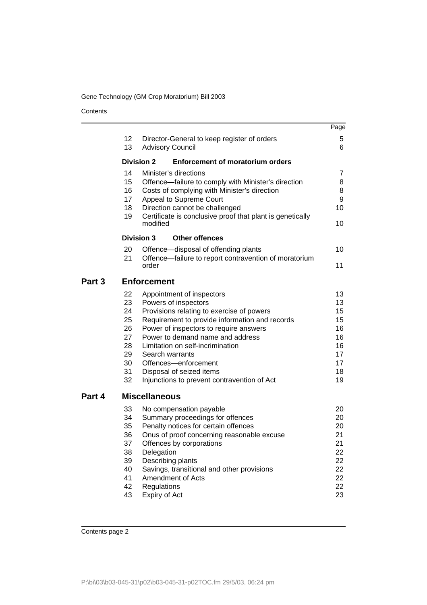**Contents** 

|                   |                                                                |                                            |                                                                                                                                                                                                                                                                                                                                                                                          | Page                                                           |
|-------------------|----------------------------------------------------------------|--------------------------------------------|------------------------------------------------------------------------------------------------------------------------------------------------------------------------------------------------------------------------------------------------------------------------------------------------------------------------------------------------------------------------------------------|----------------------------------------------------------------|
|                   | 12<br>13                                                       |                                            | Director-General to keep register of orders<br><b>Advisory Council</b>                                                                                                                                                                                                                                                                                                                   | 5<br>6                                                         |
|                   |                                                                | <b>Division 2</b>                          | <b>Enforcement of moratorium orders</b>                                                                                                                                                                                                                                                                                                                                                  |                                                                |
|                   | 14<br>15<br>16<br>17<br>18<br>19                               | modified                                   | Minister's directions<br>Offence-failure to comply with Minister's direction<br>Costs of complying with Minister's direction<br>Appeal to Supreme Court<br>Direction cannot be challenged<br>Certificate is conclusive proof that plant is genetically                                                                                                                                   | 7<br>8<br>8<br>9<br>10<br>10                                   |
|                   |                                                                | <b>Division 3</b>                          | <b>Other offences</b>                                                                                                                                                                                                                                                                                                                                                                    |                                                                |
|                   | 20                                                             |                                            | Offence-disposal of offending plants                                                                                                                                                                                                                                                                                                                                                     | 10                                                             |
|                   | 21                                                             | order                                      | Offence-failure to report contravention of moratorium                                                                                                                                                                                                                                                                                                                                    | 11                                                             |
| Part <sub>3</sub> |                                                                | <b>Enforcement</b>                         |                                                                                                                                                                                                                                                                                                                                                                                          |                                                                |
|                   | 22<br>23<br>24<br>25<br>26<br>27<br>28<br>29<br>30<br>31<br>32 |                                            | Appointment of inspectors<br>Powers of inspectors<br>Provisions relating to exercise of powers<br>Requirement to provide information and records<br>Power of inspectors to require answers<br>Power to demand name and address<br>Limitation on self-incrimination<br>Search warrants<br>Offences-enforcement<br>Disposal of seized items<br>Injunctions to prevent contravention of Act | 13<br>13<br>15<br>15<br>16<br>16<br>16<br>17<br>17<br>18<br>19 |
| Part 4            |                                                                | <b>Miscellaneous</b>                       |                                                                                                                                                                                                                                                                                                                                                                                          |                                                                |
|                   | 33<br>34<br>35<br>36<br>37<br>38<br>39<br>40<br>41<br>42<br>43 | Delegation<br>Regulations<br>Expiry of Act | No compensation payable<br>Summary proceedings for offences<br>Penalty notices for certain offences<br>Onus of proof concerning reasonable excuse<br>Offences by corporations<br>Describing plants<br>Savings, transitional and other provisions<br>Amendment of Acts                                                                                                                    | 20<br>20<br>20<br>21<br>21<br>22<br>22<br>22<br>22<br>22<br>23 |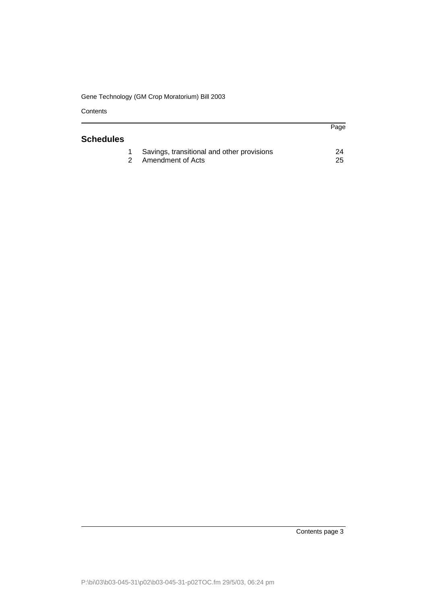**Contents** 

|                  |                                            | Page |
|------------------|--------------------------------------------|------|
| <b>Schedules</b> |                                            |      |
|                  | Savings, transitional and other provisions | 24   |
|                  | Amendment of Acts                          | 25   |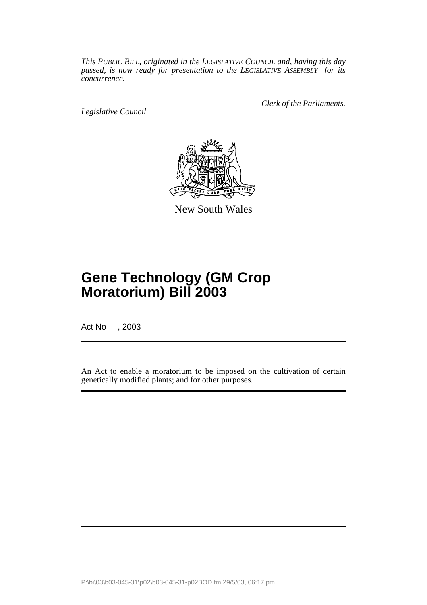*This PUBLIC BILL, originated in the LEGISLATIVE COUNCIL and, having this day passed, is now ready for presentation to the LEGISLATIVE ASSEMBLY for its concurrence.*

*Legislative Council*

*Clerk of the Parliaments.*



New South Wales

# **Gene Technology (GM Crop Moratorium) Bill 2003**

Act No , 2003

An Act to enable a moratorium to be imposed on the cultivation of certain genetically modified plants; and for other purposes.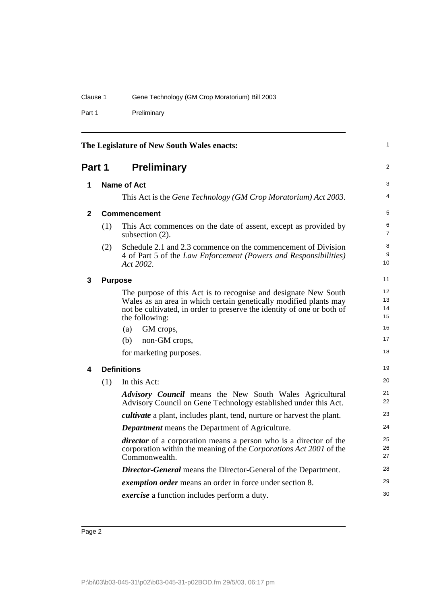| Gene Technology (GM Crop Moratorium) Bill 2003<br>Clause 1 |
|------------------------------------------------------------|
|------------------------------------------------------------|

Part 1 Preliminary

<span id="page-5-4"></span><span id="page-5-3"></span><span id="page-5-2"></span><span id="page-5-1"></span><span id="page-5-0"></span>

| The Legislature of New South Wales enacts: |                              |                                                                                                                                                                                                                                  |                      |  |
|--------------------------------------------|------------------------------|----------------------------------------------------------------------------------------------------------------------------------------------------------------------------------------------------------------------------------|----------------------|--|
|                                            | Part 1<br><b>Preliminary</b> |                                                                                                                                                                                                                                  |                      |  |
| 1                                          |                              | <b>Name of Act</b>                                                                                                                                                                                                               | 3                    |  |
|                                            |                              | This Act is the Gene Technology (GM Crop Moratorium) Act 2003.                                                                                                                                                                   | 4                    |  |
| $\mathbf{2}$                               |                              | <b>Commencement</b>                                                                                                                                                                                                              | 5                    |  |
|                                            | (1)                          | This Act commences on the date of assent, except as provided by<br>subsection $(2)$ .                                                                                                                                            | 6<br>7               |  |
|                                            | (2)                          | Schedule 2.1 and 2.3 commence on the commencement of Division<br>4 of Part 5 of the Law Enforcement (Powers and Responsibilities)<br>Act 2002.                                                                                   | 8<br>9<br>10         |  |
| 3                                          |                              | <b>Purpose</b>                                                                                                                                                                                                                   | 11                   |  |
|                                            |                              | The purpose of this Act is to recognise and designate New South<br>Wales as an area in which certain genetically modified plants may<br>not be cultivated, in order to preserve the identity of one or both of<br>the following: | 12<br>13<br>14<br>15 |  |
|                                            |                              | GM crops,<br>(a)                                                                                                                                                                                                                 | 16                   |  |
|                                            |                              | non-GM crops,<br>(b)                                                                                                                                                                                                             | 17                   |  |
|                                            |                              | for marketing purposes.                                                                                                                                                                                                          | 18                   |  |
| 4                                          |                              | <b>Definitions</b>                                                                                                                                                                                                               | 19                   |  |
|                                            | (1)                          | In this Act:                                                                                                                                                                                                                     | 20                   |  |
|                                            |                              | Advisory Council means the New South Wales Agricultural<br>Advisory Council on Gene Technology established under this Act.                                                                                                       | 21<br>22             |  |
|                                            |                              | <i>cultivate</i> a plant, includes plant, tend, nurture or harvest the plant.                                                                                                                                                    | 23                   |  |
|                                            |                              | <b>Department</b> means the Department of Agriculture.                                                                                                                                                                           | 24                   |  |
|                                            |                              | director of a corporation means a person who is a director of the<br>corporation within the meaning of the Corporations Act 2001 of the<br>Commonwealth.                                                                         | 25<br>26<br>27       |  |
|                                            |                              | <b>Director-General</b> means the Director-General of the Department.                                                                                                                                                            | 28                   |  |
|                                            |                              | exemption order means an order in force under section 8.                                                                                                                                                                         | 29                   |  |
|                                            |                              | <i>exercise</i> a function includes perform a duty.                                                                                                                                                                              | 30                   |  |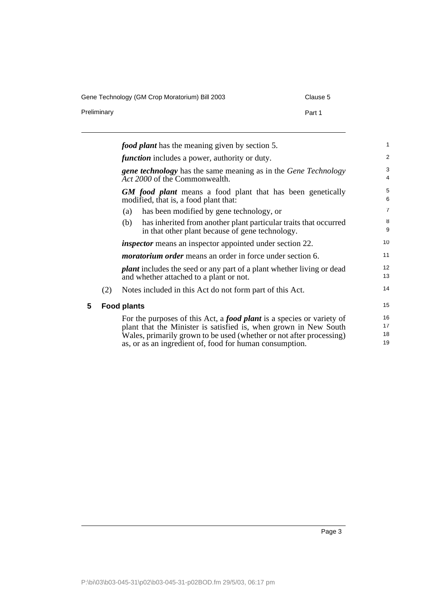| Gene Technology (GM Crop Moratorium) Bill 2003 | Clause 5 |
|------------------------------------------------|----------|
| Preliminary                                    | Part 1   |

<span id="page-6-0"></span>

|   |     | <i>food plant</i> has the meaning given by section 5.                                                                                                                                                                                                                              | 1                    |
|---|-----|------------------------------------------------------------------------------------------------------------------------------------------------------------------------------------------------------------------------------------------------------------------------------------|----------------------|
|   |     | <i>function</i> includes a power, authority or duty.                                                                                                                                                                                                                               | $\overline{c}$       |
|   |     | <b>gene technology</b> has the same meaning as in the Gene Technology<br>Act 2000 of the Commonwealth.                                                                                                                                                                             | 3<br>4               |
|   |     | <b>GM</b> food plant means a food plant that has been genetically<br>modified, that is, a food plant that:                                                                                                                                                                         | 5<br>6               |
|   |     | has been modified by gene technology, or<br>(a)                                                                                                                                                                                                                                    | 7                    |
|   |     | has inherited from another plant particular traits that occurred<br>(b)<br>in that other plant because of gene technology.                                                                                                                                                         | 8<br>9               |
|   |     | <i>inspector</i> means an inspector appointed under section 22.                                                                                                                                                                                                                    | 10                   |
|   |     | <i>moratorium order</i> means an order in force under section 6.                                                                                                                                                                                                                   | 11                   |
|   |     | <i>plant</i> includes the seed or any part of a plant whether living or dead<br>and whether attached to a plant or not.                                                                                                                                                            | 12<br>13             |
|   | (2) | Notes included in this Act do not form part of this Act.                                                                                                                                                                                                                           | 14                   |
| 5 |     | <b>Food plants</b>                                                                                                                                                                                                                                                                 | 15                   |
|   |     | For the purposes of this Act, a <i>food plant</i> is a species or variety of<br>plant that the Minister is satisfied is, when grown in New South<br>Wales, primarily grown to be used (whether or not after processing)<br>as, or as an ingredient of, food for human consumption. | 16<br>17<br>18<br>19 |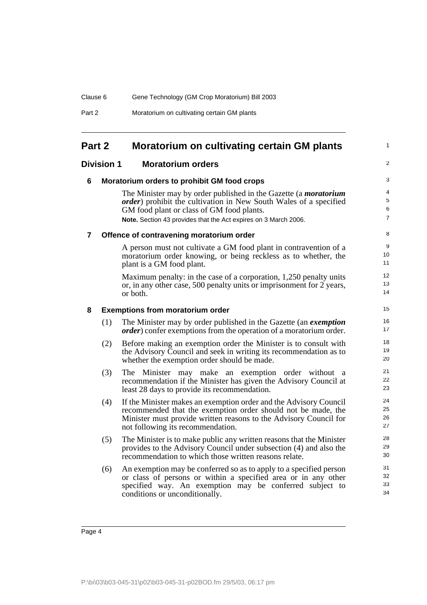Part 2 Moratorium on cultivating certain GM plants

# <span id="page-7-0"></span>**Part 2 Moratorium on cultivating certain GM plants**

1

2

## <span id="page-7-2"></span><span id="page-7-1"></span>**Division 1** Moratorium order

<span id="page-7-4"></span><span id="page-7-3"></span>

|   | IVISION 1 | <b>Moratorium orders</b>                                                                                                                                                                                                                    | z                    |
|---|-----------|---------------------------------------------------------------------------------------------------------------------------------------------------------------------------------------------------------------------------------------------|----------------------|
| 6 |           | Moratorium orders to prohibit GM food crops                                                                                                                                                                                                 | 3                    |
|   |           | The Minister may by order published in the Gazette (a <i>moratorium</i><br><i>order</i> ) prohibit the cultivation in New South Wales of a specified                                                                                        | 4<br>5               |
|   |           | GM food plant or class of GM food plants.<br>Note. Section 43 provides that the Act expires on 3 March 2006.                                                                                                                                | 6<br>$\overline{7}$  |
| 7 |           | Offence of contravening moratorium order                                                                                                                                                                                                    | 8                    |
|   |           | A person must not cultivate a GM food plant in contravention of a<br>moratorium order knowing, or being reckless as to whether, the<br>plant is a GM food plant.                                                                            | 9<br>10<br>11        |
|   |           | Maximum penalty: in the case of a corporation, 1,250 penalty units<br>or, in any other case, 500 penalty units or imprisonment for 2 years,<br>or both.                                                                                     | 12<br>13<br>14       |
| 8 |           | <b>Exemptions from moratorium order</b>                                                                                                                                                                                                     | 15                   |
|   | (1)       | The Minister may by order published in the Gazette (an <i>exemption</i><br><i>order</i> ) confer exemptions from the operation of a moratorium order.                                                                                       | 16<br>17             |
|   | (2)       | Before making an exemption order the Minister is to consult with<br>the Advisory Council and seek in writing its recommendation as to<br>whether the exemption order should be made.                                                        | 18<br>19<br>20       |
|   | (3)       | The Minister may make an exemption order without<br>a<br>recommendation if the Minister has given the Advisory Council at<br>least 28 days to provide its recommendation.                                                                   | 21<br>22<br>23       |
|   | (4)       | If the Minister makes an exemption order and the Advisory Council<br>recommended that the exemption order should not be made, the<br>Minister must provide written reasons to the Advisory Council for<br>not following its recommendation. | 24<br>25<br>26<br>27 |
|   | (5)       | The Minister is to make public any written reasons that the Minister<br>provides to the Advisory Council under subsection (4) and also the<br>recommendation to which those written reasons relate.                                         | 28<br>29<br>30       |
|   | (6)       | An exemption may be conferred so as to apply to a specified person<br>or class of persons or within a specified area or in any other<br>specified way. An exemption may be conferred subject to<br>conditions or unconditionally.           | 31<br>32<br>33<br>34 |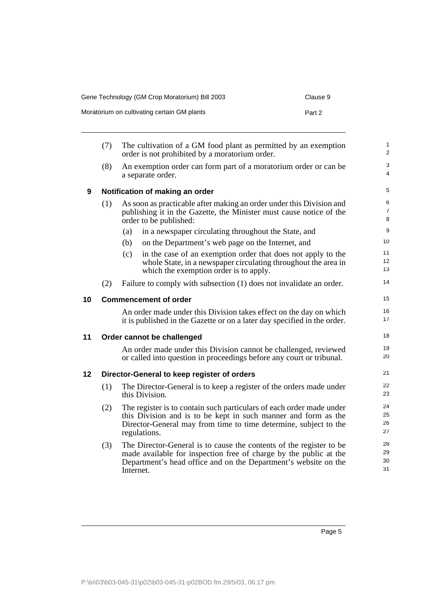| Gene Technology (GM Crop Moratorium) Bill 2003 | Clause 9 |
|------------------------------------------------|----------|
| Moratorium on cultivating certain GM plants    | Part 2   |

<span id="page-8-3"></span><span id="page-8-2"></span><span id="page-8-1"></span><span id="page-8-0"></span>

|                 | (7) | The cultivation of a GM food plant as permitted by an exemption<br>order is not prohibited by a moratorium order.                                                                                                          | 1<br>$\overline{\mathbf{c}}$ |
|-----------------|-----|----------------------------------------------------------------------------------------------------------------------------------------------------------------------------------------------------------------------------|------------------------------|
|                 | (8) | An exemption order can form part of a moratorium order or can be<br>a separate order.                                                                                                                                      | 3<br>4                       |
| 9               |     | Notification of making an order                                                                                                                                                                                            | 5                            |
|                 | (1) | As soon as practicable after making an order under this Division and<br>publishing it in the Gazette, the Minister must cause notice of the<br>order to be published:                                                      | 6<br>$\overline{7}$<br>8     |
|                 |     | in a newspaper circulating throughout the State, and<br>(a)                                                                                                                                                                | 9                            |
|                 |     | on the Department's web page on the Internet, and<br>(b)                                                                                                                                                                   | 10                           |
|                 |     | in the case of an exemption order that does not apply to the<br>(c)<br>whole State, in a newspaper circulating throughout the area in<br>which the exemption order is to apply.                                            | 11<br>12<br>13               |
|                 | (2) | Failure to comply with subsection (1) does not invalidate an order.                                                                                                                                                        | 14                           |
| 10              |     | <b>Commencement of order</b>                                                                                                                                                                                               | 15                           |
|                 |     | An order made under this Division takes effect on the day on which<br>it is published in the Gazette or on a later day specified in the order.                                                                             | 16<br>17                     |
| 11              |     | Order cannot be challenged                                                                                                                                                                                                 | 18                           |
|                 |     | An order made under this Division cannot be challenged, reviewed<br>or called into question in proceedings before any court or tribunal.                                                                                   | 19<br>20                     |
| 12 <sub>2</sub> |     | Director-General to keep register of orders                                                                                                                                                                                | 21                           |
|                 | (1) | The Director-General is to keep a register of the orders made under<br>this Division.                                                                                                                                      | 22<br>23                     |
|                 | (2) | The register is to contain such particulars of each order made under<br>this Division and is to be kept in such manner and form as the<br>Director-General may from time to time determine, subject to the<br>regulations. | 24<br>25<br>26<br>27         |
|                 | (3) | The Director-General is to cause the contents of the register to be<br>made available for inspection free of charge by the public at the<br>Department's head office and on the Department's website on the<br>Internet.   | 28<br>29<br>30<br>31         |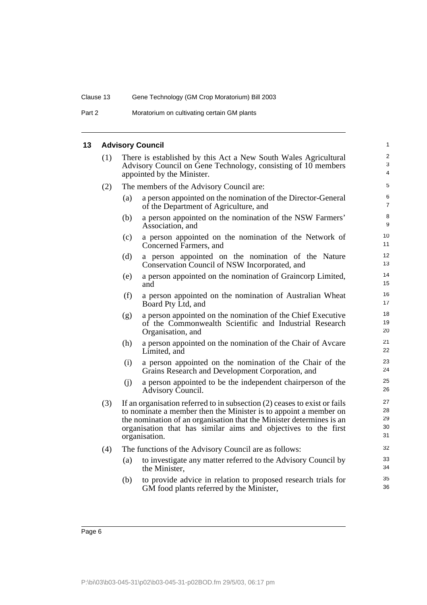| Moratorium on cultivating certain GM plants |
|---------------------------------------------|
|                                             |

### <span id="page-9-0"></span>**13 Advisory Council**

|     |                                                       | <b>Advisory Council</b>                                                                                                                                                                                                                                                                                  | $\mathbf{1}$               |  |  |
|-----|-------------------------------------------------------|----------------------------------------------------------------------------------------------------------------------------------------------------------------------------------------------------------------------------------------------------------------------------------------------------------|----------------------------|--|--|
| (1) |                                                       | There is established by this Act a New South Wales Agricultural<br>Advisory Council on Gene Technology, consisting of 10 members<br>appointed by the Minister.                                                                                                                                           | $\overline{2}$<br>3<br>4   |  |  |
| (2) | The members of the Advisory Council are:              |                                                                                                                                                                                                                                                                                                          |                            |  |  |
|     | (a)                                                   | a person appointed on the nomination of the Director-General<br>of the Department of Agriculture, and                                                                                                                                                                                                    | 6<br>$\overline{7}$        |  |  |
|     | (b)                                                   | a person appointed on the nomination of the NSW Farmers'<br>Association, and                                                                                                                                                                                                                             | 8<br>9                     |  |  |
|     | (c)                                                   | a person appointed on the nomination of the Network of<br>Concerned Farmers, and                                                                                                                                                                                                                         | 10<br>11                   |  |  |
|     | (d)                                                   | a person appointed on the nomination of the Nature<br>Conservation Council of NSW Incorporated, and                                                                                                                                                                                                      | 12 <sup>°</sup><br>13      |  |  |
|     | (e)                                                   | a person appointed on the nomination of Graincorp Limited,<br>and                                                                                                                                                                                                                                        | 14<br>15                   |  |  |
|     | (f)                                                   | a person appointed on the nomination of Australian Wheat<br>Board Pty Ltd, and                                                                                                                                                                                                                           | 16<br>17                   |  |  |
|     | (g)                                                   | a person appointed on the nomination of the Chief Executive<br>of the Commonwealth Scientific and Industrial Research<br>Organisation, and                                                                                                                                                               | 18<br>19<br>20             |  |  |
|     | (h)                                                   | a person appointed on the nomination of the Chair of Avcare<br>Limited, and                                                                                                                                                                                                                              | 21<br>22                   |  |  |
|     | (i)                                                   | a person appointed on the nomination of the Chair of the<br>Grains Research and Development Corporation, and                                                                                                                                                                                             | 23<br>24                   |  |  |
|     | (i)                                                   | a person appointed to be the independent chairperson of the<br>Advisory Council.                                                                                                                                                                                                                         | 25<br>26                   |  |  |
| (3) |                                                       | If an organisation referred to in subsection (2) ceases to exist or fails<br>to nominate a member then the Minister is to appoint a member on<br>the nomination of an organisation that the Minister determines is an<br>organisation that has similar aims and objectives to the first<br>organisation. | 27<br>28<br>29<br>30<br>31 |  |  |
| (4) | The functions of the Advisory Council are as follows: |                                                                                                                                                                                                                                                                                                          |                            |  |  |
|     | (a)                                                   | to investigate any matter referred to the Advisory Council by<br>the Minister,                                                                                                                                                                                                                           | 33<br>34                   |  |  |
|     | (b)                                                   | to provide advice in relation to proposed research trials for<br>GM food plants referred by the Minister,                                                                                                                                                                                                | 35<br>36                   |  |  |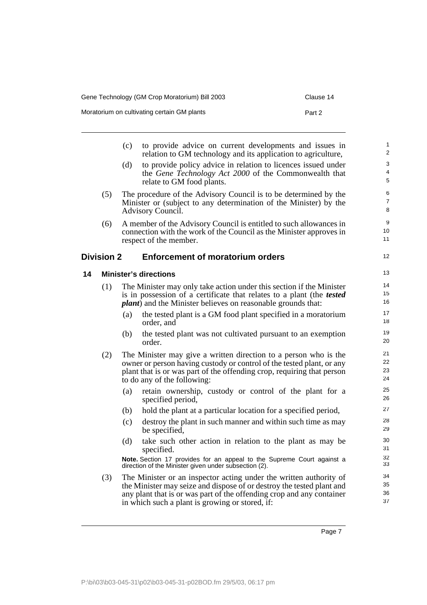| Gene Technology (GM Crop Moratorium) Bill 2003 | Clause 14 |
|------------------------------------------------|-----------|
| Moratorium on cultivating certain GM plants    | Part 2    |

<span id="page-10-1"></span><span id="page-10-0"></span>

|    |                   | (c) | to provide advice on current developments and issues in<br>relation to GM technology and its application to agriculture,                                                                                                                                                | $\mathbf{1}$<br>$\overline{\mathbf{c}}$ |
|----|-------------------|-----|-------------------------------------------------------------------------------------------------------------------------------------------------------------------------------------------------------------------------------------------------------------------------|-----------------------------------------|
|    |                   | (d) | to provide policy advice in relation to licences issued under<br>the Gene Technology Act 2000 of the Commonwealth that<br>relate to GM food plants.                                                                                                                     | 3<br>4<br>5                             |
|    | (5)               |     | The procedure of the Advisory Council is to be determined by the<br>Minister or (subject to any determination of the Minister) by the<br>Advisory Council.                                                                                                              | 6<br>7<br>8                             |
|    | (6)               |     | A member of the Advisory Council is entitled to such allowances in<br>connection with the work of the Council as the Minister approves in<br>respect of the member.                                                                                                     | 9<br>10<br>11                           |
|    | <b>Division 2</b> |     | <b>Enforcement of moratorium orders</b>                                                                                                                                                                                                                                 | 12                                      |
| 14 |                   |     | <b>Minister's directions</b>                                                                                                                                                                                                                                            | 13                                      |
|    | (1)               |     | The Minister may only take action under this section if the Minister<br>is in possession of a certificate that relates to a plant (the tested<br><i>plant</i> ) and the Minister believes on reasonable grounds that:                                                   | 14<br>15<br>16                          |
|    |                   | (a) | the tested plant is a GM food plant specified in a moratorium<br>order, and                                                                                                                                                                                             | 17<br>18                                |
|    |                   | (b) | the tested plant was not cultivated pursuant to an exemption<br>order.                                                                                                                                                                                                  | 19<br>20                                |
|    | (2)               |     | The Minister may give a written direction to a person who is the<br>owner or person having custody or control of the tested plant, or any<br>plant that is or was part of the offending crop, requiring that person<br>to do any of the following:                      | 21<br>22<br>23<br>24                    |
|    |                   | (a) | retain ownership, custody or control of the plant for a<br>specified period,                                                                                                                                                                                            | 25<br>26                                |
|    |                   | (b) | hold the plant at a particular location for a specified period,                                                                                                                                                                                                         | 27                                      |
|    |                   | (c) | destroy the plant in such manner and within such time as may<br>be specified,                                                                                                                                                                                           | 28<br>29                                |
|    |                   | (d) | take such other action in relation to the plant as may be<br>specified.                                                                                                                                                                                                 | 30<br>31                                |
|    |                   |     | Note. Section 17 provides for an appeal to the Supreme Court against a<br>direction of the Minister given under subsection (2).                                                                                                                                         | 32<br>33                                |
|    | (3)               |     | The Minister or an inspector acting under the written authority of<br>the Minister may seize and dispose of or destroy the tested plant and<br>any plant that is or was part of the offending crop and any container<br>in which such a plant is growing or stored, if: | 34<br>35<br>36<br>37                    |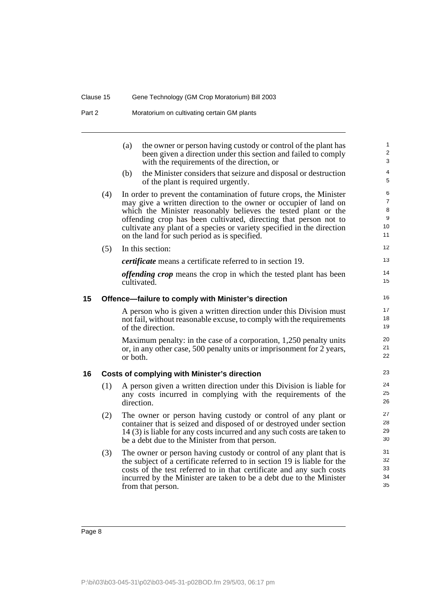<span id="page-11-1"></span><span id="page-11-0"></span>

|    |     | (a)        | the owner or person having custody or control of the plant has<br>been given a direction under this section and failed to comply<br>with the requirements of the direction, or                                                                                                                                                                                                                          | $\mathbf{1}$<br>$\overline{2}$<br>$\mathbf{3}$ |
|----|-----|------------|---------------------------------------------------------------------------------------------------------------------------------------------------------------------------------------------------------------------------------------------------------------------------------------------------------------------------------------------------------------------------------------------------------|------------------------------------------------|
|    |     | (b)        | the Minister considers that seizure and disposal or destruction<br>of the plant is required urgently.                                                                                                                                                                                                                                                                                                   | 4<br>5                                         |
|    | (4) |            | In order to prevent the contamination of future crops, the Minister<br>may give a written direction to the owner or occupier of land on<br>which the Minister reasonably believes the tested plant or the<br>offending crop has been cultivated, directing that person not to<br>cultivate any plant of a species or variety specified in the direction<br>on the land for such period as is specified. | 6<br>$\overline{7}$<br>8<br>9<br>10<br>11      |
|    | (5) |            | In this section:                                                                                                                                                                                                                                                                                                                                                                                        | 12 <sup>°</sup>                                |
|    |     |            | <i>certificate</i> means a certificate referred to in section 19.                                                                                                                                                                                                                                                                                                                                       | 13                                             |
|    |     |            | <i>offending crop</i> means the crop in which the tested plant has been<br>cultivated.                                                                                                                                                                                                                                                                                                                  | 14<br>15                                       |
| 15 |     |            | Offence-failure to comply with Minister's direction                                                                                                                                                                                                                                                                                                                                                     | 16                                             |
|    |     |            | A person who is given a written direction under this Division must<br>not fail, without reasonable excuse, to comply with the requirements<br>of the direction.                                                                                                                                                                                                                                         | 17<br>18<br>19                                 |
|    |     | or both.   | Maximum penalty: in the case of a corporation, 1,250 penalty units<br>or, in any other case, 500 penalty units or imprisonment for 2 years,                                                                                                                                                                                                                                                             | 20<br>21<br>22                                 |
| 16 |     |            | <b>Costs of complying with Minister's direction</b>                                                                                                                                                                                                                                                                                                                                                     | 23                                             |
|    | (1) | direction. | A person given a written direction under this Division is liable for<br>any costs incurred in complying with the requirements of the                                                                                                                                                                                                                                                                    | 24<br>25<br>26                                 |
|    | (2) |            | The owner or person having custody or control of any plant or<br>container that is seized and disposed of or destroyed under section<br>14 (3) is liable for any costs incurred and any such costs are taken to<br>be a debt due to the Minister from that person.                                                                                                                                      | 27<br>28<br>29<br>30                           |
|    | (3) |            | The owner or person having custody or control of any plant that is<br>the subject of a certificate referred to in section 19 is liable for the<br>costs of the test referred to in that certificate and any such costs<br>incurred by the Minister are taken to be a debt due to the Minister<br>from that person.                                                                                      | 31<br>32<br>33<br>34<br>35                     |

 $\overline{a}$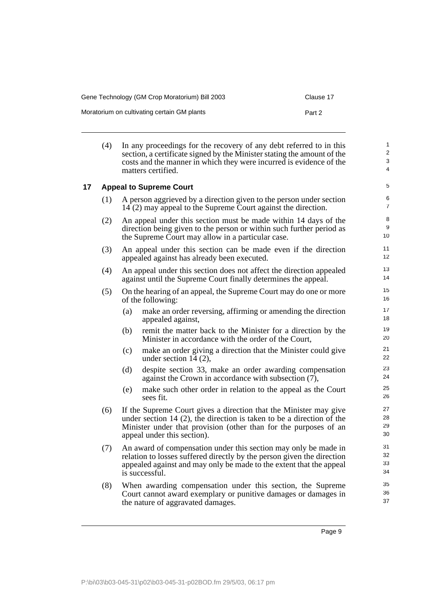| Gene Technology (GM Crop Moratorium) Bill 2003 | Clause 17 |
|------------------------------------------------|-----------|
| Moratorium on cultivating certain GM plants    | Part 2    |

<span id="page-12-0"></span>

|    | (4) |     | In any proceedings for the recovery of any debt referred to in this<br>section, a certificate signed by the Minister stating the amount of the<br>costs and the manner in which they were incurred is evidence of the<br>matters certified.     | 1<br>$\overline{2}$<br>3<br>4 |
|----|-----|-----|-------------------------------------------------------------------------------------------------------------------------------------------------------------------------------------------------------------------------------------------------|-------------------------------|
| 17 |     |     | <b>Appeal to Supreme Court</b>                                                                                                                                                                                                                  | 5                             |
|    | (1) |     | A person aggrieved by a direction given to the person under section<br>14 (2) may appeal to the Supreme Court against the direction.                                                                                                            | 6<br>$\overline{7}$           |
|    | (2) |     | An appeal under this section must be made within 14 days of the<br>direction being given to the person or within such further period as<br>the Supreme Court may allow in a particular case.                                                    | 8<br>9<br>10                  |
|    | (3) |     | An appeal under this section can be made even if the direction<br>appealed against has already been executed.                                                                                                                                   | 11<br>12 <sup>2</sup>         |
|    | (4) |     | An appeal under this section does not affect the direction appealed<br>against until the Supreme Court finally determines the appeal.                                                                                                           | 13<br>14                      |
|    | (5) |     | On the hearing of an appeal, the Supreme Court may do one or more<br>of the following:                                                                                                                                                          | 15<br>16                      |
|    |     | (a) | make an order reversing, affirming or amending the direction<br>appealed against,                                                                                                                                                               | 17<br>18                      |
|    |     | (b) | remit the matter back to the Minister for a direction by the<br>Minister in accordance with the order of the Court,                                                                                                                             | 19<br>20                      |
|    |     | (c) | make an order giving a direction that the Minister could give<br>under section $14(2)$ ,                                                                                                                                                        | 21<br>22                      |
|    |     | (d) | despite section 33, make an order awarding compensation<br>against the Crown in accordance with subsection (7),                                                                                                                                 | 23<br>24                      |
|    |     | (e) | make such other order in relation to the appeal as the Court<br>sees fit.                                                                                                                                                                       | 25<br>26                      |
|    | (6) |     | If the Supreme Court gives a direction that the Minister may give<br>under section $14$ (2), the direction is taken to be a direction of the<br>Minister under that provision (other than for the purposes of an<br>appeal under this section). | 27<br>28<br>29<br>30          |
|    | (7) |     | An award of compensation under this section may only be made in<br>relation to losses suffered directly by the person given the direction<br>appealed against and may only be made to the extent that the appeal<br>is successful.              | 31<br>32<br>33<br>34          |
|    | (8) |     | When awarding compensation under this section, the Supreme<br>Court cannot award exemplary or punitive damages or damages in                                                                                                                    | 35<br>36                      |

(8) When awarding compensation under this section, the Supreme Court cannot award exemplary or punitive damages or damages in the nature of aggravated damages.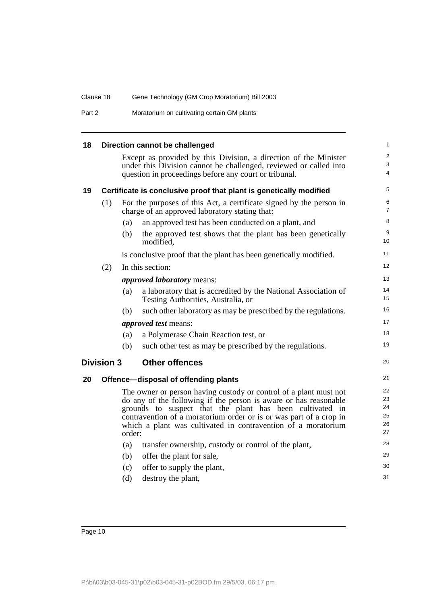Part 2 Moratorium on cultivating certain GM plants

<span id="page-13-3"></span><span id="page-13-2"></span><span id="page-13-1"></span><span id="page-13-0"></span>

| 18 |                   |        | Direction cannot be challenged                                                                                                                                                                                                                                                                                                           | 1                                 |
|----|-------------------|--------|------------------------------------------------------------------------------------------------------------------------------------------------------------------------------------------------------------------------------------------------------------------------------------------------------------------------------------------|-----------------------------------|
|    |                   |        | Except as provided by this Division, a direction of the Minister<br>under this Division cannot be challenged, reviewed or called into<br>question in proceedings before any court or tribunal.                                                                                                                                           | $\overline{\mathbf{c}}$<br>3<br>4 |
| 19 |                   |        | Certificate is conclusive proof that plant is genetically modified                                                                                                                                                                                                                                                                       | 5                                 |
|    | (1)               |        | For the purposes of this Act, a certificate signed by the person in<br>charge of an approved laboratory stating that:                                                                                                                                                                                                                    | 6<br>7                            |
|    |                   | (a)    | an approved test has been conducted on a plant, and                                                                                                                                                                                                                                                                                      | 8                                 |
|    |                   | (b)    | the approved test shows that the plant has been genetically<br>modified,                                                                                                                                                                                                                                                                 | 9<br>10                           |
|    |                   |        | is conclusive proof that the plant has been genetically modified.                                                                                                                                                                                                                                                                        | 11                                |
|    | (2)               |        | In this section:                                                                                                                                                                                                                                                                                                                         | 12                                |
|    |                   |        | <i>approved laboratory</i> means:                                                                                                                                                                                                                                                                                                        | 13                                |
|    |                   | (a)    | a laboratory that is accredited by the National Association of<br>Testing Authorities, Australia, or                                                                                                                                                                                                                                     | 14<br>15                          |
|    |                   | (b)    | such other laboratory as may be prescribed by the regulations.                                                                                                                                                                                                                                                                           | 16                                |
|    |                   |        | <i>approved test</i> means:                                                                                                                                                                                                                                                                                                              | 17                                |
|    |                   | (a)    | a Polymerase Chain Reaction test, or                                                                                                                                                                                                                                                                                                     | 18                                |
|    |                   | (b)    | such other test as may be prescribed by the regulations.                                                                                                                                                                                                                                                                                 | 19                                |
|    | <b>Division 3</b> |        | <b>Other offences</b>                                                                                                                                                                                                                                                                                                                    | 20                                |
| 20 |                   |        | Offence-disposal of offending plants                                                                                                                                                                                                                                                                                                     | 21                                |
|    |                   | order: | The owner or person having custody or control of a plant must not<br>do any of the following if the person is aware or has reasonable<br>grounds to suspect that the plant has been cultivated in<br>contravention of a moratorium order or is or was part of a crop in<br>which a plant was cultivated in contravention of a moratorium | 22<br>23<br>24<br>25<br>26<br>27  |
|    |                   | (a)    | transfer ownership, custody or control of the plant,                                                                                                                                                                                                                                                                                     | 28                                |
|    |                   | (b)    | offer the plant for sale,                                                                                                                                                                                                                                                                                                                | 29                                |
|    |                   | (c)    | offer to supply the plant,                                                                                                                                                                                                                                                                                                               | 30                                |
|    |                   | (d)    | destroy the plant,                                                                                                                                                                                                                                                                                                                       | 31                                |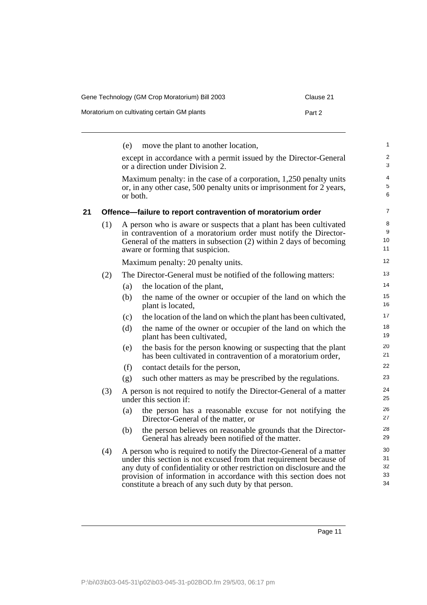| Gene Technology (GM Crop Moratorium) Bill 2003 | Clause 21 |
|------------------------------------------------|-----------|
| Moratorium on cultivating certain GM plants    | Part 2    |

<span id="page-14-0"></span>

|    |     | (e)      | move the plant to another location,                                                                                                                                                                                                                                                                                                              | 1                            |
|----|-----|----------|--------------------------------------------------------------------------------------------------------------------------------------------------------------------------------------------------------------------------------------------------------------------------------------------------------------------------------------------------|------------------------------|
|    |     |          | except in accordance with a permit issued by the Director-General<br>or a direction under Division 2.                                                                                                                                                                                                                                            | $\overline{\mathbf{c}}$<br>3 |
|    |     | or both. | Maximum penalty: in the case of a corporation, 1,250 penalty units<br>or, in any other case, 500 penalty units or imprisonment for 2 years,                                                                                                                                                                                                      | 4<br>5<br>6                  |
| 21 |     |          | Offence-failure to report contravention of moratorium order                                                                                                                                                                                                                                                                                      | 7                            |
|    | (1) |          | A person who is aware or suspects that a plant has been cultivated<br>in contravention of a moratorium order must notify the Director-<br>General of the matters in subsection (2) within 2 days of becoming<br>aware or forming that suspicion.                                                                                                 | 8<br>9<br>10<br>11           |
|    |     |          | Maximum penalty: 20 penalty units.                                                                                                                                                                                                                                                                                                               | 12                           |
|    | (2) |          | The Director-General must be notified of the following matters:                                                                                                                                                                                                                                                                                  | 13                           |
|    |     | (a)      | the location of the plant,                                                                                                                                                                                                                                                                                                                       | 14                           |
|    |     | (b)      | the name of the owner or occupier of the land on which the<br>plant is located,                                                                                                                                                                                                                                                                  | 15<br>16                     |
|    |     | (c)      | the location of the land on which the plant has been cultivated,                                                                                                                                                                                                                                                                                 | 17                           |
|    |     | (d)      | the name of the owner or occupier of the land on which the<br>plant has been cultivated,                                                                                                                                                                                                                                                         | 18<br>19                     |
|    |     | (e)      | the basis for the person knowing or suspecting that the plant<br>has been cultivated in contravention of a moratorium order,                                                                                                                                                                                                                     | 20<br>21                     |
|    |     | (f)      | contact details for the person,                                                                                                                                                                                                                                                                                                                  | 22                           |
|    |     | (g)      | such other matters as may be prescribed by the regulations.                                                                                                                                                                                                                                                                                      | 23                           |
|    | (3) |          | A person is not required to notify the Director-General of a matter<br>under this section if:                                                                                                                                                                                                                                                    | 24<br>25                     |
|    |     | (a)      | the person has a reasonable excuse for not notifying the<br>Director-General of the matter, or                                                                                                                                                                                                                                                   | 26<br>27                     |
|    |     | (b)      | the person believes on reasonable grounds that the Director-<br>General has already been notified of the matter.                                                                                                                                                                                                                                 | 28<br>29                     |
|    | (4) |          | A person who is required to notify the Director-General of a matter<br>under this section is not excused from that requirement because of<br>any duty of confidentiality or other restriction on disclosure and the<br>provision of information in accordance with this section does not<br>constitute a breach of any such duty by that person. | 30<br>31<br>32<br>33<br>34   |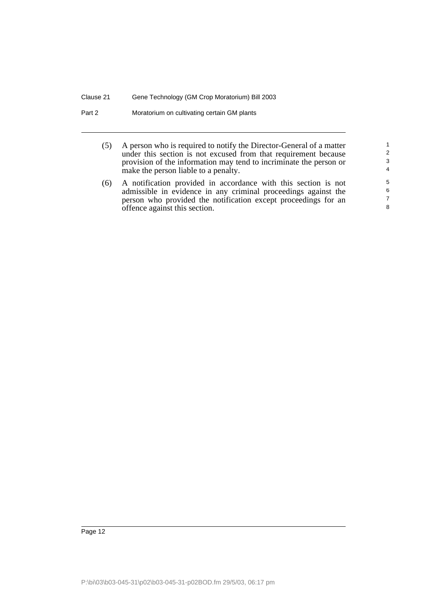| Clause 21 | Gene Technology (GM Crop Moratorium) Bill 2003 |
|-----------|------------------------------------------------|
|-----------|------------------------------------------------|

#### Part 2 Moratorium on cultivating certain GM plants

(5) A person who is required to notify the Director-General of a matter under this section is not excused from that requirement because provision of the information may tend to incriminate the person or make the person liable to a penalty.

(6) A notification provided in accordance with this section is not admissible in evidence in any criminal proceedings against the person who provided the notification except proceedings for an offence against this section.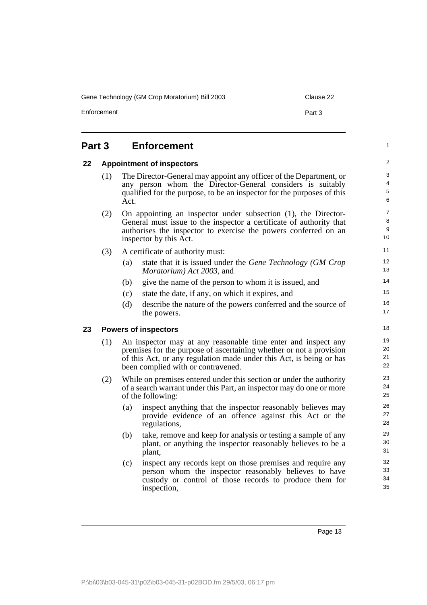Gene Technology (GM Crop Moratorium) Bill 2003 Clause 22

Enforcement

| 'art |
|------|
|------|

<span id="page-16-2"></span><span id="page-16-1"></span><span id="page-16-0"></span>

| <b>Part 3</b> |     | <b>Enforcement</b>                                                                                                                                                                                                                                |                                                                                                                                                                                                                                    |                                |
|---------------|-----|---------------------------------------------------------------------------------------------------------------------------------------------------------------------------------------------------------------------------------------------------|------------------------------------------------------------------------------------------------------------------------------------------------------------------------------------------------------------------------------------|--------------------------------|
| 22            |     |                                                                                                                                                                                                                                                   | <b>Appointment of inspectors</b>                                                                                                                                                                                                   | 2                              |
|               | (1) | Act.                                                                                                                                                                                                                                              | The Director-General may appoint any officer of the Department, or<br>any person whom the Director-General considers is suitably<br>qualified for the purpose, to be an inspector for the purposes of this                         | 3<br>4<br>5<br>6               |
|               | (2) |                                                                                                                                                                                                                                                   | On appointing an inspector under subsection (1), the Director-<br>General must issue to the inspector a certificate of authority that<br>authorises the inspector to exercise the powers conferred on an<br>inspector by this Act. | $\overline{7}$<br>8<br>9<br>10 |
|               | (3) |                                                                                                                                                                                                                                                   | A certificate of authority must:                                                                                                                                                                                                   | 11                             |
|               |     | (a)                                                                                                                                                                                                                                               | state that it is issued under the Gene Technology (GM Crop<br><i>Moratorium</i> ) Act 2003, and                                                                                                                                    | 12<br>13                       |
|               |     | (b)                                                                                                                                                                                                                                               | give the name of the person to whom it is issued, and                                                                                                                                                                              | 14                             |
|               |     | (c)                                                                                                                                                                                                                                               | state the date, if any, on which it expires, and                                                                                                                                                                                   | 15                             |
|               |     | (d)                                                                                                                                                                                                                                               | describe the nature of the powers conferred and the source of<br>the powers.                                                                                                                                                       | 16<br>17                       |
| 23            |     |                                                                                                                                                                                                                                                   | <b>Powers of inspectors</b>                                                                                                                                                                                                        | 18                             |
|               | (1) | An inspector may at any reasonable time enter and inspect any<br>premises for the purpose of ascertaining whether or not a provision<br>of this Act, or any regulation made under this Act, is being or has<br>been complied with or contravened. |                                                                                                                                                                                                                                    |                                |
|               | (2) |                                                                                                                                                                                                                                                   | While on premises entered under this section or under the authority<br>of a search warrant under this Part, an inspector may do one or more<br>of the following:                                                                   | 23<br>24<br>25                 |
|               |     | (a)                                                                                                                                                                                                                                               | inspect anything that the inspector reasonably believes may<br>provide evidence of an offence against this Act or the<br>regulations,                                                                                              | 26<br>27<br>28                 |
|               |     | (b)                                                                                                                                                                                                                                               | take, remove and keep for analysis or testing a sample of any<br>plant, or anything the inspector reasonably believes to be a<br>plant,                                                                                            | 29<br>30<br>31                 |
|               |     | (c)                                                                                                                                                                                                                                               | inspect any records kept on those premises and require any<br>person whom the inspector reasonably believes to have<br>custody or control of those records to produce them for<br>inspection,                                      | 32<br>33<br>34<br>35           |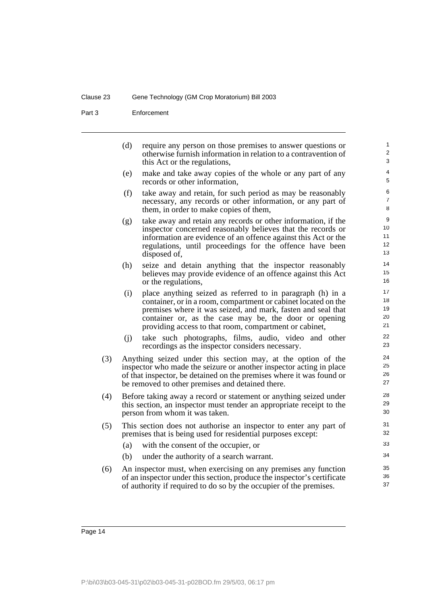#### Clause 23 Gene Technology (GM Crop Moratorium) Bill 2003

Part 3 Enforcement

(d) require any person on those premises to answer questions or otherwise furnish information in relation to a contravention of this Act or the regulations, (e) make and take away copies of the whole or any part of any records or other information, (f) take away and retain, for such period as may be reasonably necessary, any records or other information, or any part of them, in order to make copies of them, (g) take away and retain any records or other information, if the inspector concerned reasonably believes that the records or information are evidence of an offence against this Act or the regulations, until proceedings for the offence have been disposed of, (h) seize and detain anything that the inspector reasonably believes may provide evidence of an offence against this Act or the regulations, (i) place anything seized as referred to in paragraph (h) in a container, or in a room, compartment or cabinet located on the premises where it was seized, and mark, fasten and seal that container or, as the case may be, the door or opening providing access to that room, compartment or cabinet, (j) take such photographs, films, audio, video and other recordings as the inspector considers necessary. (3) Anything seized under this section may, at the option of the inspector who made the seizure or another inspector acting in place of that inspector, be detained on the premises where it was found or be removed to other premises and detained there. (4) Before taking away a record or statement or anything seized under this section, an inspector must tender an appropriate receipt to the person from whom it was taken. (5) This section does not authorise an inspector to enter any part of premises that is being used for residential purposes except: (a) with the consent of the occupier, or (b) under the authority of a search warrant. (6) An inspector must, when exercising on any premises any function of an inspector under this section, produce the inspector's certificate of authority if required to do so by the occupier of the premises. 1  $\mathfrak{p}$ 3 4 5 6 7 8 9 10 11 12 13 14 15 16 17 18 19 20 21 22 23 24 25 26 27 28 29 30 31 32 33 34 35 36 37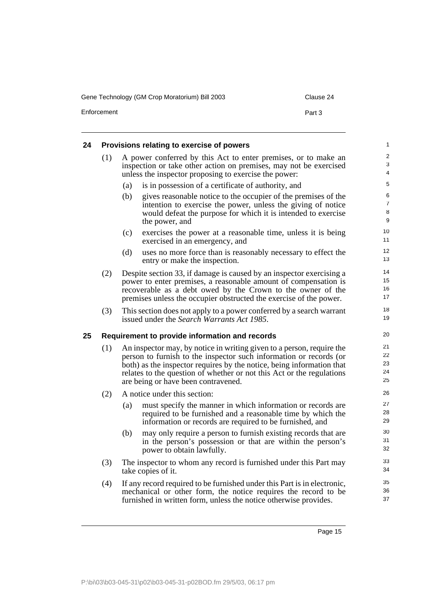Gene Technology (GM Crop Moratorium) Bill 2003 Clause 24

Enforcement Part 3

<span id="page-18-1"></span><span id="page-18-0"></span>

| 24 |     |     | Provisions relating to exercise of powers                                                                                                                                                                                                                                                                                            | 1                             |
|----|-----|-----|--------------------------------------------------------------------------------------------------------------------------------------------------------------------------------------------------------------------------------------------------------------------------------------------------------------------------------------|-------------------------------|
|    | (1) |     | A power conferred by this Act to enter premises, or to make an<br>inspection or take other action on premises, may not be exercised<br>unless the inspector proposing to exercise the power:                                                                                                                                         | $\overline{2}$<br>3<br>4      |
|    |     | (a) | is in possession of a certificate of authority, and                                                                                                                                                                                                                                                                                  | 5                             |
|    |     | (b) | gives reasonable notice to the occupier of the premises of the<br>intention to exercise the power, unless the giving of notice<br>would defeat the purpose for which it is intended to exercise<br>the power, and                                                                                                                    | 6<br>$\overline{7}$<br>8<br>9 |
|    |     | (c) | exercises the power at a reasonable time, unless it is being<br>exercised in an emergency, and                                                                                                                                                                                                                                       | 10<br>11                      |
|    |     | (d) | uses no more force than is reasonably necessary to effect the<br>entry or make the inspection.                                                                                                                                                                                                                                       | 12<br>13                      |
|    | (2) |     | Despite section 33, if damage is caused by an inspector exercising a<br>power to enter premises, a reasonable amount of compensation is<br>recoverable as a debt owed by the Crown to the owner of the<br>premises unless the occupier obstructed the exercise of the power.                                                         | 14<br>15<br>16<br>17          |
|    | (3) |     | This section does not apply to a power conferred by a search warrant<br>issued under the Search Warrants Act 1985.                                                                                                                                                                                                                   | 18<br>19                      |
| 25 |     |     | Requirement to provide information and records                                                                                                                                                                                                                                                                                       | 20                            |
|    | (1) |     | An inspector may, by notice in writing given to a person, require the<br>person to furnish to the inspector such information or records (or<br>both) as the inspector requires by the notice, being information that<br>relates to the question of whether or not this Act or the regulations<br>are being or have been contravened. | 21<br>22<br>23<br>24<br>25    |
|    | (2) |     | A notice under this section:                                                                                                                                                                                                                                                                                                         | 26                            |
|    |     | (a) | must specify the manner in which information or records are<br>required to be furnished and a reasonable time by which the<br>information or records are required to be furnished, and                                                                                                                                               | 27<br>28<br>29                |
|    |     | (b) | may only require a person to furnish existing records that are<br>in the person's possession or that are within the person's<br>power to obtain lawfully.                                                                                                                                                                            | 30<br>31<br>32                |
|    | (3) |     | The inspector to whom any record is furnished under this Part may<br>take copies of it.                                                                                                                                                                                                                                              | 33<br>34                      |
|    | (4) |     | If any record required to be furnished under this Part is in electronic,<br>mechanical or other form, the notice requires the record to be<br>furnished in written form, unless the notice otherwise provides.                                                                                                                       | 35<br>36<br>37                |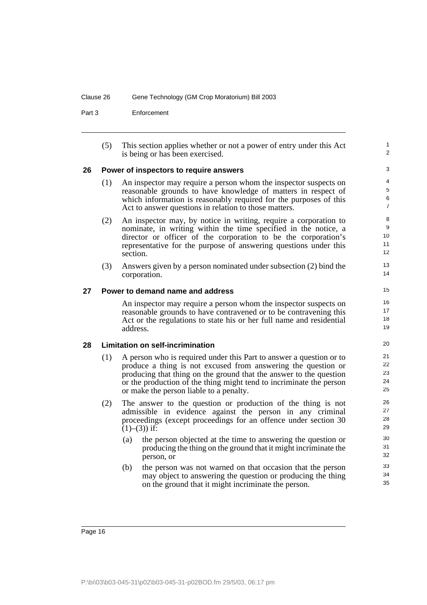Part 3 Enforcement

<span id="page-19-0"></span>

|    | (5) | This section applies whether or not a power of entry under this Act<br>is being or has been exercised.                                                                                                                                                                                | 1<br>$\overline{2}$      |
|----|-----|---------------------------------------------------------------------------------------------------------------------------------------------------------------------------------------------------------------------------------------------------------------------------------------|--------------------------|
| 26 |     | Power of inspectors to require answers                                                                                                                                                                                                                                                | 3                        |
|    | (1) | An inspector may require a person whom the inspector suspects on<br>reasonable grounds to have knowledge of matters in respect of<br>which information is reasonably required for the purposes of this<br>Act to answer questions in relation to those matters.                       | 4<br>5<br>6<br>7         |
|    | (2) | An inspector may, by notice in writing, require a corporation to<br>nominate, in writing within the time specified in the notice, a<br>director or officer of the corporation to be the corporation's<br>representative for the purpose of answering questions under this<br>section. | 8<br>9<br>10<br>11<br>12 |
|    | (3) | Answers given by a person nominated under subsection (2) bind the<br>corporation.                                                                                                                                                                                                     | 13<br>14                 |
| 27 |     | Power to demand name and address                                                                                                                                                                                                                                                      | 15                       |
|    |     | An inspector may require a person whom the inspector suspects on<br>reasonable grounds to have contravened or to be contravening this<br>Act or the regulations to state his or her full name and residential<br>address.                                                             | 16<br>17<br>18<br>19     |

#### <span id="page-19-2"></span><span id="page-19-1"></span>**28 Limitation on self-incrimination**

(1) A person who is required under this Part to answer a question or to produce a thing is not excused from answering the question or producing that thing on the ground that the answer to the question or the production of the thing might tend to incriminate the person or make the person liable to a penalty.

- (2) The answer to the question or production of the thing is not admissible in evidence against the person in any criminal proceedings (except proceedings for an offence under section 30  $(1)–(3)$ ) if:
	- (a) the person objected at the time to answering the question or producing the thing on the ground that it might incriminate the person, or
	- (b) the person was not warned on that occasion that the person may object to answering the question or producing the thing on the ground that it might incriminate the person.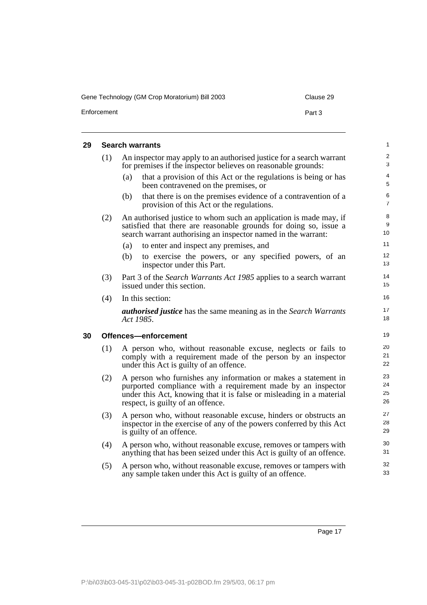| Gene Technology (GM Crop Moratorium) Bill 2003 | Clause 29 |
|------------------------------------------------|-----------|
| Enforcement                                    | Part 3    |

<span id="page-20-1"></span><span id="page-20-0"></span>

| 29 |     | <b>Search warrants</b>                                                                                                                                                                                                                      | 1                            |
|----|-----|---------------------------------------------------------------------------------------------------------------------------------------------------------------------------------------------------------------------------------------------|------------------------------|
|    | (1) | An inspector may apply to an authorised justice for a search warrant<br>for premises if the inspector believes on reasonable grounds:                                                                                                       | $\overline{\mathbf{c}}$<br>3 |
|    |     | that a provision of this Act or the regulations is being or has<br>(a)<br>been contravened on the premises, or                                                                                                                              | 4<br>5                       |
|    |     | that there is on the premises evidence of a contravention of a<br>(b)<br>provision of this Act or the regulations.                                                                                                                          | 6<br>$\overline{7}$          |
|    | (2) | An authorised justice to whom such an application is made may, if<br>satisfied that there are reasonable grounds for doing so, issue a<br>search warrant authorising an inspector named in the warrant:                                     | 8<br>9<br>10                 |
|    |     | (a)<br>to enter and inspect any premises, and                                                                                                                                                                                               | 11                           |
|    |     | (b)<br>to exercise the powers, or any specified powers, of an<br>inspector under this Part.                                                                                                                                                 | 12<br>13                     |
|    | (3) | Part 3 of the <i>Search Warrants Act 1985</i> applies to a search warrant<br>issued under this section.                                                                                                                                     | 14<br>15                     |
|    | (4) | In this section:                                                                                                                                                                                                                            | 16                           |
|    |     | <b>authorised justice</b> has the same meaning as in the Search Warrants<br>Act 1985.                                                                                                                                                       | 17<br>18                     |
| 30 |     | Offences-enforcement                                                                                                                                                                                                                        | 19                           |
|    | (1) | A person who, without reasonable excuse, neglects or fails to<br>comply with a requirement made of the person by an inspector<br>under this Act is guilty of an offence.                                                                    | 20<br>21<br>22               |
|    | (2) | A person who furnishes any information or makes a statement in<br>purported compliance with a requirement made by an inspector<br>under this Act, knowing that it is false or misleading in a material<br>respect, is guilty of an offence. | 23<br>24<br>25<br>26         |
|    | (3) | A person who, without reasonable excuse, hinders or obstructs an<br>inspector in the exercise of any of the powers conferred by this Act<br>is guilty of an offence.                                                                        | 27<br>28<br>29               |
|    | (4) | A person who, without reasonable excuse, removes or tampers with<br>anything that has been seized under this Act is guilty of an offence.                                                                                                   | 30<br>31                     |
|    | (5) | A person who, without reasonable excuse, removes or tampers with<br>any sample taken under this Act is guilty of an offence.                                                                                                                | 32<br>33                     |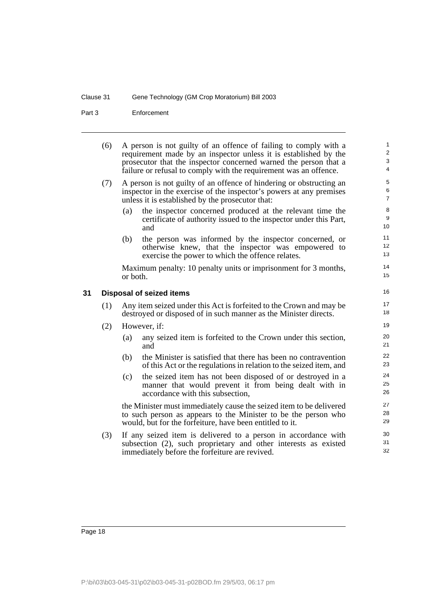#### Clause 31 Gene Technology (GM Crop Moratorium) Bill 2003

Part 3 Enforcement

<span id="page-21-0"></span>

|    | (6) |          | A person is not guilty of an offence of failing to comply with a<br>requirement made by an inspector unless it is established by the<br>prosecutor that the inspector concerned warned the person that a<br>failure or refusal to comply with the requirement was an offence. | $\mathbf{1}$<br>$\boldsymbol{2}$<br>3<br>4 |
|----|-----|----------|-------------------------------------------------------------------------------------------------------------------------------------------------------------------------------------------------------------------------------------------------------------------------------|--------------------------------------------|
|    | (7) |          | A person is not guilty of an offence of hindering or obstructing an<br>inspector in the exercise of the inspector's powers at any premises<br>unless it is established by the prosecutor that:                                                                                | 5<br>6<br>$\overline{7}$                   |
|    |     | (a)      | the inspector concerned produced at the relevant time the<br>certificate of authority issued to the inspector under this Part,<br>and                                                                                                                                         | 8<br>9<br>10                               |
|    |     | (b)      | the person was informed by the inspector concerned, or<br>otherwise knew, that the inspector was empowered to<br>exercise the power to which the offence relates.                                                                                                             | 11<br>12<br>13                             |
|    |     | or both. | Maximum penalty: 10 penalty units or imprisonment for 3 months,                                                                                                                                                                                                               | 14<br>15                                   |
| 31 |     |          | <b>Disposal of seized items</b>                                                                                                                                                                                                                                               | 16                                         |
|    | (1) |          | Any item seized under this Act is forfeited to the Crown and may be<br>destroyed or disposed of in such manner as the Minister directs.                                                                                                                                       | 17<br>18                                   |
|    | (2) |          | However, if:                                                                                                                                                                                                                                                                  | 19                                         |
|    |     | (a)      | any seized item is forfeited to the Crown under this section,<br>and                                                                                                                                                                                                          | 20<br>21                                   |
|    |     | (b)      | the Minister is satisfied that there has been no contravention<br>of this Act or the regulations in relation to the seized item, and                                                                                                                                          | 22<br>23                                   |
|    |     | (c)      | the seized item has not been disposed of or destroyed in a<br>manner that would prevent it from being dealt with in<br>accordance with this subsection,                                                                                                                       | 24<br>25<br>26                             |
|    |     |          | the Minister must immediately cause the seized item to be delivered<br>to such person as appears to the Minister to be the person who<br>would, but for the forfeiture, have been entitled to it.                                                                             | 27<br>28<br>29                             |
|    | (3) |          | If any seized item is delivered to a person in accordance with<br>subsection (2), such proprietary and other interests as existed<br>immediately before the forfeiture are revived.                                                                                           | 30<br>31<br>32                             |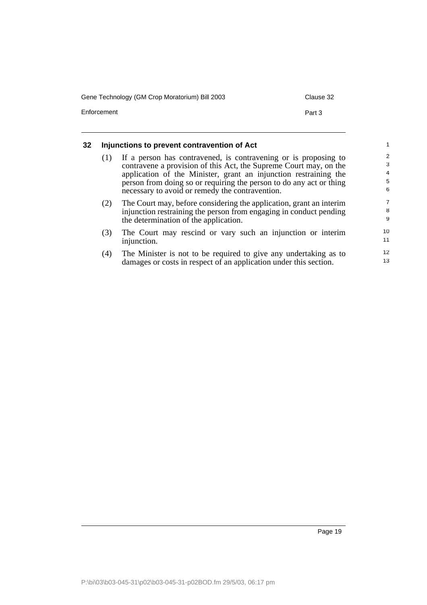| Gene Technology (GM Crop Moratorium) Bill 2003 | Clause 32 |
|------------------------------------------------|-----------|
| Enforcement                                    | Part 3    |
|                                                |           |

<span id="page-22-0"></span>

| 32 |     | Injunctions to prevent contravention of Act                         | $\mathbf{1}$ |
|----|-----|---------------------------------------------------------------------|--------------|
|    | (1) | If a person has contravened, is contravening or is proposing to     | 2            |
|    |     | contravene a provision of this Act, the Supreme Court may, on the   | 3            |
|    |     | application of the Minister, grant an injunction restraining the    | 4            |
|    |     | person from doing so or requiring the person to do any act or thing | 5            |
|    |     | necessary to avoid or remedy the contravention.                     | 6            |
|    | (2) | The Court may, before considering the application, grant an interim | 7            |
|    |     | injunction restraining the person from engaging in conduct pending  | 8            |
|    |     | the determination of the application.                               | 9            |
|    | (3) | The Court may rescind or vary such an injunction or interim         | 10           |
|    |     | injunction.                                                         | 11           |
|    | (4) | The Minister is not to be required to give any undertaking as to    | 12           |
|    |     | damages or costs in respect of an application under this section.   | 13           |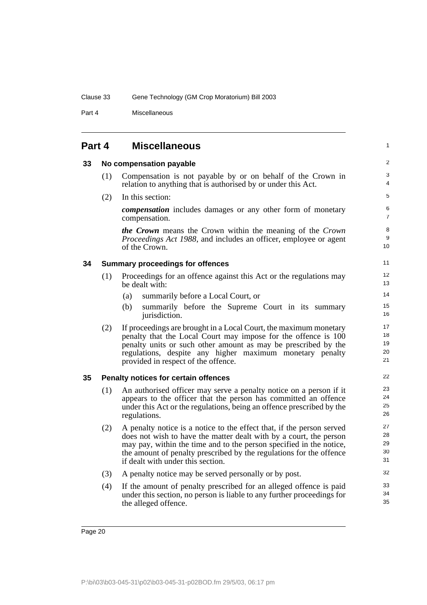Part 4 Miscellaneous

<span id="page-23-0"></span>

### <span id="page-23-1"></span>**33 No compensation payable** (1) Compensation is not payable by or on behalf of the Crown in

- relation to anything that is authorised by or under this Act.
- (2) In this section:

*compensation* includes damages or any other form of monetary compensation.

1

*the Crown* means the Crown within the meaning of the *Crown Proceedings Act 1988*, and includes an officer, employee or agent of the Crown.

#### <span id="page-23-2"></span>**34 Summary proceedings for offences**

- (1) Proceedings for an offence against this Act or the regulations may be dealt with:
	- (a) summarily before a Local Court, or
	- (b) summarily before the Supreme Court in its summary jurisdiction.
- (2) If proceedings are brought in a Local Court, the maximum monetary penalty that the Local Court may impose for the offence is 100 penalty units or such other amount as may be prescribed by the regulations, despite any higher maximum monetary penalty provided in respect of the offence.

#### <span id="page-23-3"></span>**35 Penalty notices for certain offences**

- (1) An authorised officer may serve a penalty notice on a person if it appears to the officer that the person has committed an offence under this Act or the regulations, being an offence prescribed by the regulations.
- (2) A penalty notice is a notice to the effect that, if the person served does not wish to have the matter dealt with by a court, the person may pay, within the time and to the person specified in the notice, the amount of penalty prescribed by the regulations for the offence if dealt with under this section.
- (3) A penalty notice may be served personally or by post.
- (4) If the amount of penalty prescribed for an alleged offence is paid under this section, no person is liable to any further proceedings for the alleged offence.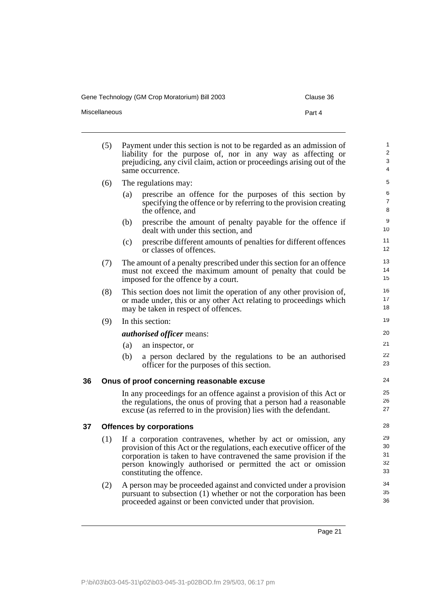Gene Technology (GM Crop Moratorium) Bill 2003 Clause 36 Miscellaneous **Part 4** 

<span id="page-24-1"></span><span id="page-24-0"></span>

|    | (5) | Payment under this section is not to be regarded as an admission of<br>liability for the purpose of, nor in any way as affecting or<br>prejudicing, any civil claim, action or proceedings arising out of the<br>same occurrence.                                                                           | 1<br>$\overline{c}$<br>3<br>4 |
|----|-----|-------------------------------------------------------------------------------------------------------------------------------------------------------------------------------------------------------------------------------------------------------------------------------------------------------------|-------------------------------|
|    | (6) | The regulations may:                                                                                                                                                                                                                                                                                        | 5                             |
|    |     | prescribe an offence for the purposes of this section by<br>(a)<br>specifying the offence or by referring to the provision creating<br>the offence, and                                                                                                                                                     | 6<br>$\overline{7}$<br>8      |
|    |     | prescribe the amount of penalty payable for the offence if<br>(b)<br>dealt with under this section, and                                                                                                                                                                                                     | 9<br>10                       |
|    |     | prescribe different amounts of penalties for different offences<br>(c)<br>or classes of offences.                                                                                                                                                                                                           | 11<br>12                      |
|    | (7) | The amount of a penalty prescribed under this section for an offence<br>must not exceed the maximum amount of penalty that could be<br>imposed for the offence by a court.                                                                                                                                  | 13<br>14<br>15                |
|    | (8) | This section does not limit the operation of any other provision of,<br>or made under, this or any other Act relating to proceedings which<br>may be taken in respect of offences.                                                                                                                          | 16<br>17<br>18                |
|    | (9) | In this section:                                                                                                                                                                                                                                                                                            | 19                            |
|    |     | <i>authorised officer means:</i>                                                                                                                                                                                                                                                                            | 20                            |
|    |     | (a)<br>an inspector, or                                                                                                                                                                                                                                                                                     | 21                            |
|    |     | (b)<br>a person declared by the regulations to be an authorised<br>officer for the purposes of this section.                                                                                                                                                                                                | 22<br>23                      |
| 36 |     | Onus of proof concerning reasonable excuse                                                                                                                                                                                                                                                                  | 24                            |
|    |     | In any proceedings for an offence against a provision of this Act or                                                                                                                                                                                                                                        | 25                            |
|    |     | the regulations, the onus of proving that a person had a reasonable<br>excuse (as referred to in the provision) lies with the defendant.                                                                                                                                                                    | 26<br>27                      |
| 37 |     | <b>Offences by corporations</b>                                                                                                                                                                                                                                                                             | 28                            |
|    | (1) | If a corporation contravenes, whether by act or omission, any<br>provision of this Act or the regulations, each executive officer of the<br>corporation is taken to have contravened the same provision if the<br>person knowingly authorised or permitted the act or omission<br>constituting the offence. | 29<br>30<br>31<br>32<br>33    |
|    | (2) | A person may be proceeded against and convicted under a provision<br>pursuant to subsection $(1)$ whether or not the corporation has been<br>proceeded against or been convicted under that provision.                                                                                                      | 34<br>35<br>36                |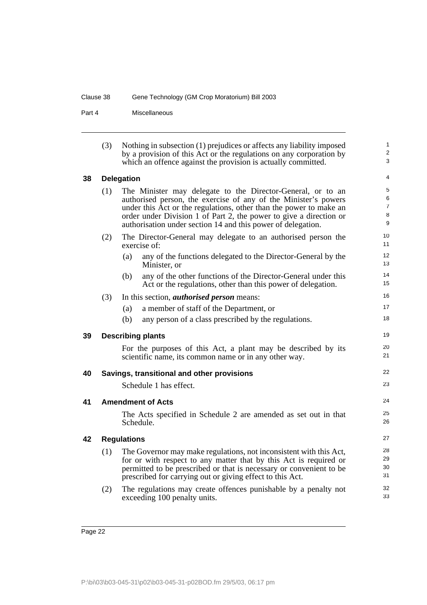## Clause 38 Gene Technology (GM Crop Moratorium) Bill 2003 Part 4 Miscellaneous

<span id="page-25-4"></span><span id="page-25-3"></span><span id="page-25-2"></span><span id="page-25-1"></span><span id="page-25-0"></span>

|    | (3) |                                                  | Nothing in subsection (1) prejudices or affects any liability imposed<br>by a provision of this Act or the regulations on any corporation by |
|----|-----|--------------------------------------------------|----------------------------------------------------------------------------------------------------------------------------------------------|
|    |     |                                                  | which an offence against the provision is actually committed.                                                                                |
| 38 |     | <b>Delegation</b>                                |                                                                                                                                              |
|    | (1) |                                                  | The Minister may delegate to the Director-General, or to an                                                                                  |
|    |     |                                                  | authorised person, the exercise of any of the Minister's powers<br>under this Act or the regulations, other than the power to make an        |
|    |     |                                                  | order under Division 1 of Part 2, the power to give a direction or                                                                           |
|    |     |                                                  | authorisation under section 14 and this power of delegation.                                                                                 |
|    | (2) | exercise of:                                     | The Director-General may delegate to an authorised person the                                                                                |
|    |     | (a)<br>Minister, or                              | any of the functions delegated to the Director-General by the                                                                                |
|    |     | (b)                                              | any of the other functions of the Director-General under this<br>Act or the regulations, other than this power of delegation.                |
|    | (3) | In this section, <i>authorised person</i> means: |                                                                                                                                              |
|    |     | (a)                                              | a member of staff of the Department, or                                                                                                      |
|    |     | (b)                                              | any person of a class prescribed by the regulations.                                                                                         |
|    |     | <b>Describing plants</b>                         |                                                                                                                                              |
|    |     |                                                  | For the purposes of this Act, a plant may be described by its<br>scientific name, its common name or in any other way.                       |
| 40 |     | Savings, transitional and other provisions       |                                                                                                                                              |
|    |     | Schedule 1 has effect.                           |                                                                                                                                              |
| 41 |     | <b>Amendment of Acts</b>                         |                                                                                                                                              |
|    |     | Schedule.                                        | The Acts specified in Schedule 2 are amended as set out in that                                                                              |
| 42 |     | <b>Regulations</b>                               |                                                                                                                                              |
|    | (1) |                                                  | The Governor may make regulations, not inconsistent with this Act,                                                                           |
|    |     |                                                  | for or with respect to any matter that by this Act is required or<br>permitted to be prescribed or that is necessary or convenient to be     |
|    |     |                                                  | prescribed for carrying out or giving effect to this Act.                                                                                    |
|    | (2) | exceeding 100 penalty units.                     | The regulations may create offences punishable by a penalty not                                                                              |

1 2 3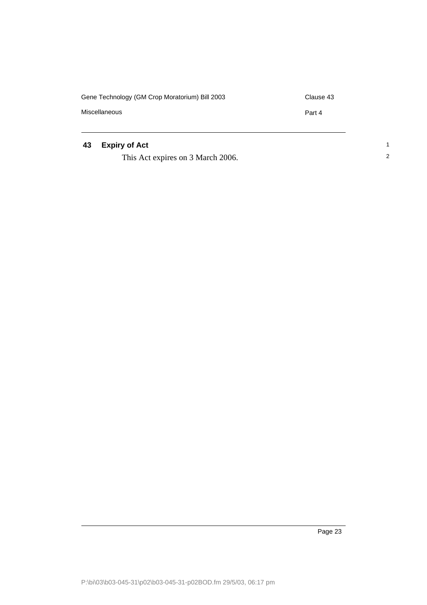| Gene Technology (GM Crop Moratorium) Bill 2003 | Clause 43 |
|------------------------------------------------|-----------|
| Miscellaneous                                  | Part 4    |
|                                                |           |

### <span id="page-26-0"></span>**43 Expiry of Act**

This Act expires on 3 March 2006.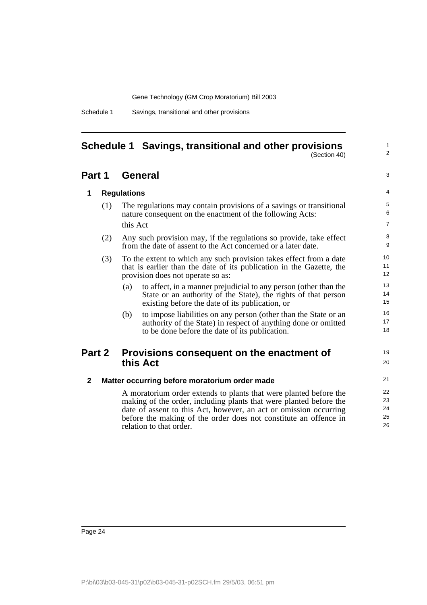Schedule 1 Savings, transitional and other provisions

## **Schedule 1 Savings, transitional and other provisions**

(Section 40)

| <b>Part 1</b> |     |                    | <b>General</b>                                                                                                                                                                                                                                                                                              | 3                                        |
|---------------|-----|--------------------|-------------------------------------------------------------------------------------------------------------------------------------------------------------------------------------------------------------------------------------------------------------------------------------------------------------|------------------------------------------|
| 1             |     | <b>Regulations</b> |                                                                                                                                                                                                                                                                                                             |                                          |
|               | (1) |                    | The regulations may contain provisions of a savings or transitional<br>nature consequent on the enactment of the following Acts:                                                                                                                                                                            | 5<br>6                                   |
|               |     | this Act           |                                                                                                                                                                                                                                                                                                             | $\overline{7}$                           |
|               | (2) |                    | Any such provision may, if the regulations so provide, take effect<br>from the date of assent to the Act concerned or a later date.                                                                                                                                                                         | 8<br>$\boldsymbol{9}$                    |
|               | (3) |                    | To the extent to which any such provision takes effect from a date<br>that is earlier than the date of its publication in the Gazette, the<br>provision does not operate so as:                                                                                                                             | 10 <sup>1</sup><br>11<br>12 <sup>°</sup> |
|               |     | (a)                | to affect, in a manner prejudicial to any person (other than the<br>State or an authority of the State), the rights of that person<br>existing before the date of its publication, or                                                                                                                       | 13<br>14<br>15                           |
|               |     | (b)                | to impose liabilities on any person (other than the State or an<br>authority of the State) in respect of anything done or omitted<br>to be done before the date of its publication.                                                                                                                         | 16<br>17<br>18                           |
| <b>Part 2</b> |     |                    | Provisions consequent on the enactment of<br>this Act                                                                                                                                                                                                                                                       | 19<br>20                                 |
| $\mathbf{2}$  |     |                    | Matter occurring before moratorium order made                                                                                                                                                                                                                                                               | 21                                       |
|               |     |                    | A moratorium order extends to plants that were planted before the<br>making of the order, including plants that were planted before the<br>date of assent to this Act, however, an act or omission occurring<br>before the making of the order does not constitute an offence in<br>relation to that order. | 22<br>23<br>24<br>25<br>26               |
|               |     |                    |                                                                                                                                                                                                                                                                                                             |                                          |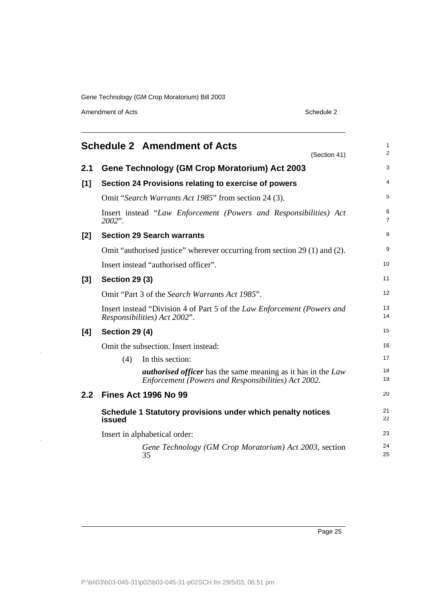Amendment of Acts Schedule 2

 $\bar{z}$ 

 $\bar{\mathcal{L}}$ 

<span id="page-28-0"></span>

|       | <b>Schedule 2 Amendment of Acts</b><br>(Section 41)                                                                        | $\mathbf{1}$<br>$\overline{2}$ |  |  |  |
|-------|----------------------------------------------------------------------------------------------------------------------------|--------------------------------|--|--|--|
| 2.1   | <b>Gene Technology (GM Crop Moratorium) Act 2003</b>                                                                       | 3                              |  |  |  |
| $[1]$ | Section 24 Provisions relating to exercise of powers                                                                       | $\overline{4}$                 |  |  |  |
|       | Omit "Search Warrants Act 1985" from section 24 (3).                                                                       | 5                              |  |  |  |
|       | Insert instead "Law Enforcement (Powers and Responsibilities) Act<br>2002".                                                | 6<br>$\overline{7}$            |  |  |  |
| [2]   | <b>Section 29 Search warrants</b>                                                                                          | 8                              |  |  |  |
|       | Omit "authorised justice" wherever occurring from section 29 (1) and (2).                                                  | 9                              |  |  |  |
|       | Insert instead "authorised officer".                                                                                       | 10                             |  |  |  |
| $[3]$ | <b>Section 29 (3)</b>                                                                                                      | 11                             |  |  |  |
|       | Omit "Part 3 of the Search Warrants Act 1985".                                                                             |                                |  |  |  |
|       | Insert instead "Division 4 of Part 5 of the Law Enforcement (Powers and<br>Responsibilities) Act 2002".                    |                                |  |  |  |
| [4]   | <b>Section 29 (4)</b>                                                                                                      |                                |  |  |  |
|       | Omit the subsection. Insert instead:                                                                                       | 16                             |  |  |  |
|       | (4)<br>In this section:                                                                                                    | 17                             |  |  |  |
|       | <i>authorised officer</i> has the same meaning as it has in the Law<br>Enforcement (Powers and Responsibilities) Act 2002. | 18<br>19                       |  |  |  |
| 2.2   | <b>Fines Act 1996 No 99</b>                                                                                                | 20                             |  |  |  |
|       | Schedule 1 Statutory provisions under which penalty notices<br>issued                                                      |                                |  |  |  |
|       | Insert in alphabetical order:                                                                                              | 23                             |  |  |  |
|       | Gene Technology (GM Crop Moratorium) Act 2003, section<br>35                                                               | 24<br>25                       |  |  |  |